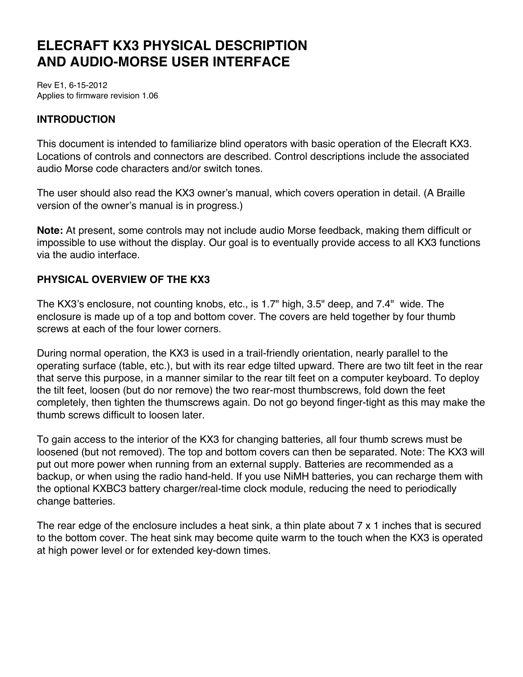# **ELECRAFT KX3 PHYSICAL DESCRIPTION AND AUDIO-MORSE USER INTERFACE**

Rev E1, 6-15-2012 Applies to firmware revision 1.06

# **INTRODUCTION**

This document is intended to familiarize blind operators with basic operation of the Elecraft KX3. Locations of controls and connectors are described. Control descriptions include the associated audio Morse code characters and/or switch tones.

The user should also read the KX3 owner's manual, which covers operation in detail. (A Braille version of the owner's manual is in progress.)

**Note:** At present, some controls may not include audio Morse feedback, making them difficult or impossible to use without the display. Our goal is to eventually provide access to all KX3 functions via the audio interface.

# **PHYSICAL OVERVIEW OF THE KX3**

The KX3's enclosure, not counting knobs, etc., is 1.7" high, 3.5" deep, and 7.4" wide. The enclosure is made up of a top and bottom cover. The covers are held together by four thumb screws at each of the four lower corners.

During normal operation, the KX3 is used in a trail-friendly orientation, nearly parallel to the operating surface (table, etc.), but with its rear edge tilted upward. There are two tilt feet in the rear that serve this purpose, in a manner similar to the rear tilt feet on a computer keyboard. To deploy the tilt feet, loosen (but do nor remove) the two rear-most thumbscrews, fold down the feet completely, then tighten the thumscrews again. Do not go beyond finger-tight as this may make the thumb screws difficult to loosen later.

To gain access to the interior of the KX3 for changing batteries, all four thumb screws must be loosened (but not removed). The top and bottom covers can then be separated. Note: The KX3 will put out more power when running from an external supply. Batteries are recommended as a backup, or when using the radio hand-held. If you use NiMH batteries, you can recharge them with the optional KXBC3 battery charger/real-time clock module, reducing the need to periodically change batteries.

The rear edge of the enclosure includes a heat sink, a thin plate about 7 x 1 inches that is secured to the bottom cover. The heat sink may become quite warm to the touch when the KX3 is operated at high power level or for extended key-down times.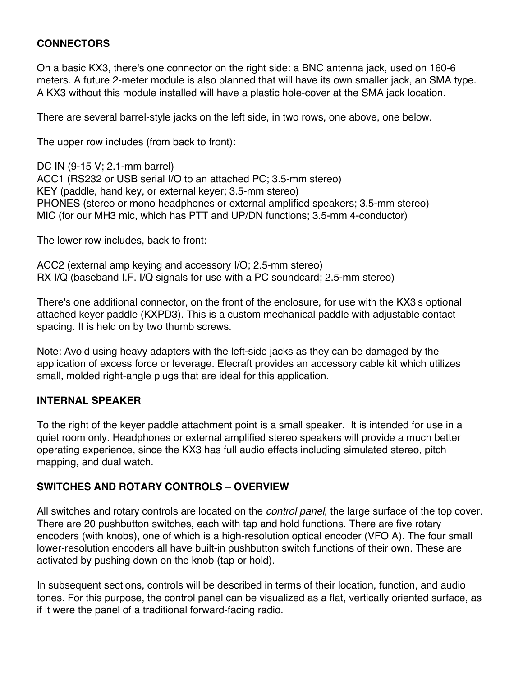## **CONNECTORS**

On a basic KX3, there's one connector on the right side: a BNC antenna jack, used on 160-6 meters. A future 2-meter module is also planned that will have its own smaller jack, an SMA type. A KX3 without this module installed will have a plastic hole-cover at the SMA jack location.

There are several barrel-style jacks on the left side, in two rows, one above, one below.

The upper row includes (from back to front):

DC IN (9-15 V; 2.1-mm barrel) ACC1 (RS232 or USB serial I/O to an attached PC; 3.5-mm stereo) KEY (paddle, hand key, or external keyer; 3.5-mm stereo) PHONES (stereo or mono headphones or external amplified speakers; 3.5-mm stereo) MIC (for our MH3 mic, which has PTT and UP/DN functions; 3.5-mm 4-conductor)

The lower row includes, back to front:

ACC2 (external amp keying and accessory I/O; 2.5-mm stereo) RX I/Q (baseband I.F. I/Q signals for use with a PC soundcard; 2.5-mm stereo)

There's one additional connector, on the front of the enclosure, for use with the KX3's optional attached keyer paddle (KXPD3). This is a custom mechanical paddle with adjustable contact spacing. It is held on by two thumb screws.

Note: Avoid using heavy adapters with the left-side jacks as they can be damaged by the application of excess force or leverage. Elecraft provides an accessory cable kit which utilizes small, molded right-angle plugs that are ideal for this application.

#### **INTERNAL SPEAKER**

To the right of the keyer paddle attachment point is a small speaker. It is intended for use in a quiet room only. Headphones or external amplified stereo speakers will provide a much better operating experience, since the KX3 has full audio effects including simulated stereo, pitch mapping, and dual watch.

#### **SWITCHES AND ROTARY CONTROLS – OVERVIEW**

All switches and rotary controls are located on the *control panel*, the large surface of the top cover. There are 20 pushbutton switches, each with tap and hold functions. There are five rotary encoders (with knobs), one of which is a high-resolution optical encoder (VFO A). The four small lower-resolution encoders all have built-in pushbutton switch functions of their own. These are activated by pushing down on the knob (tap or hold).

In subsequent sections, controls will be described in terms of their location, function, and audio tones. For this purpose, the control panel can be visualized as a flat, vertically oriented surface, as if it were the panel of a traditional forward-facing radio.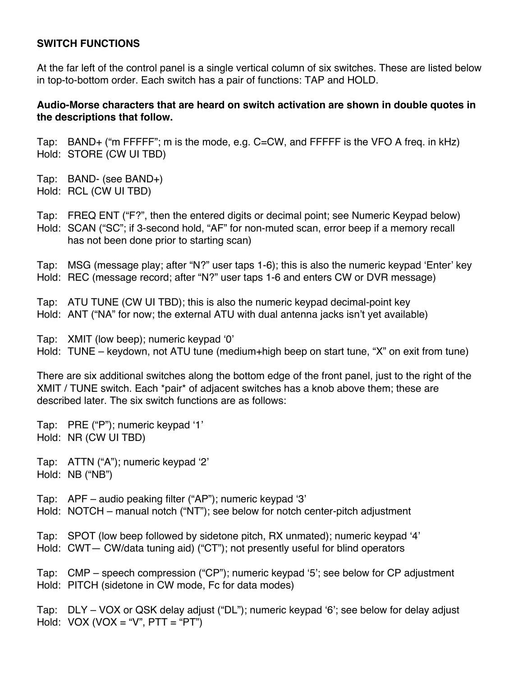#### **SWITCH FUNCTIONS**

At the far left of the control panel is a single vertical column of six switches. These are listed below in top-to-bottom order. Each switch has a pair of functions: TAP and HOLD.

#### **Audio-Morse characters that are heard on switch activation are shown in double quotes in the descriptions that follow.**

Tap: BAND+ ("m FFFFF"; m is the mode, e.g. C=CW, and FFFFF is the VFO A freq. in kHz) Hold: STORE (CW UI TBD)

- Tap: BAND- (see BAND+)
- Hold: RCL (CW UI TBD)

Tap: FREQ ENT ("F?", then the entered digits or decimal point; see Numeric Keypad below) Hold: SCAN ("SC"; if 3-second hold, "AF" for non-muted scan, error beep if a memory recall has not been done prior to starting scan)

Tap: MSG (message play; after "N?" user taps 1-6); this is also the numeric keypad ʻEnter' key Hold: REC (message record; after "N?" user taps 1-6 and enters CW or DVR message)

- Tap: ATU TUNE (CW UI TBD); this is also the numeric keypad decimal-point key
- Hold: ANT ("NA" for now; the external ATU with dual antenna jacks isn't yet available)

Tap: XMIT (low beep); numeric keypad ʻ0'

Hold: TUNE – keydown, not ATU tune (medium+high beep on start tune, "X" on exit from tune)

There are six additional switches along the bottom edge of the front panel, just to the right of the XMIT / TUNE switch. Each \*pair\* of adjacent switches has a knob above them; these are described later. The six switch functions are as follows:

Tap: PRE ("P"); numeric keypad ʻ1' Hold: NR (CW UI TBD)

Tap: ATTN ("A"); numeric keypad ʻ2' Hold: NB ("NB")

Tap: APF – audio peaking filter ("AP"); numeric keypad ʻ3'

Hold: NOTCH – manual notch ("NT"); see below for notch center-pitch adjustment

Tap: SPOT (low beep followed by sidetone pitch, RX unmated); numeric keypad ʻ4' Hold: CWT— CW/data tuning aid) ("CT"); not presently useful for blind operators

Tap: CMP – speech compression ("CP"); numeric keypad ʻ5'; see below for CP adjustment Hold: PITCH (sidetone in CW mode, Fc for data modes)

Tap: DLY – VOX or QSK delay adjust ("DL"); numeric keypad ʻ6'; see below for delay adjust Hold:  $VOX (VOX = "V", PTT = "PT")$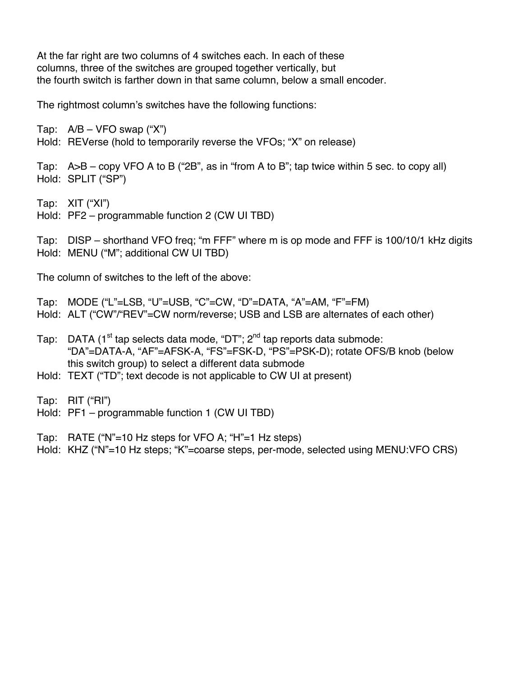At the far right are two columns of 4 switches each. In each of these columns, three of the switches are grouped together vertically, but the fourth switch is farther down in that same column, below a small encoder.

The rightmost column's switches have the following functions:

Tap:  $A/B - VFO$  swap ("X")

Hold: REVerse (hold to temporarily reverse the VFOs; "X" on release)

Tap: A>B – copy VFO A to B ("2B", as in "from A to B"; tap twice within 5 sec. to copy all) Hold: SPLIT ("SP")

Tap: XIT ("XI")

Hold: PF2 – programmable function 2 (CW UI TBD)

Tap: DISP – shorthand VFO freq; "m FFF" where m is op mode and FFF is 100/10/1 kHz digits Hold: MENU ("M"; additional CW UI TBD)

The column of switches to the left of the above:

Tap: MODE ("L"=LSB, "U"=USB, "C"=CW, "D"=DATA, "A"=AM, "F"=FM)

Hold: ALT ("CW"/"REV"=CW norm/reverse; USB and LSB are alternates of each other)

- Tap: DATA ( $1<sup>st</sup>$  tap selects data mode, "DT";  $2<sup>nd</sup>$  tap reports data submode: "DA"=DATA-A, "AF"=AFSK-A, "FS"=FSK-D, "PS"=PSK-D); rotate OFS/B knob (below this switch group) to select a different data submode
- Hold: TEXT ("TD"; text decode is not applicable to CW UI at present)

Tap: RIT ("RI")

Hold: PF1 – programmable function 1 (CW UI TBD)

Tap: RATE ("N"=10 Hz steps for VFO A; "H"=1 Hz steps)

Hold: KHZ ("N"=10 Hz steps; "K"=coarse steps, per-mode, selected using MENU:VFO CRS)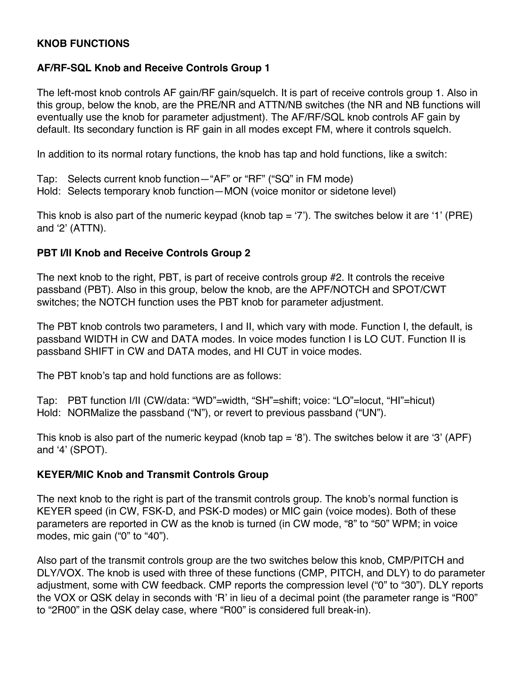## **KNOB FUNCTIONS**

## **AF/RF-SQL Knob and Receive Controls Group 1**

The left-most knob controls AF gain/RF gain/squelch. It is part of receive controls group 1. Also in this group, below the knob, are the PRE/NR and ATTN/NB switches (the NR and NB functions will eventually use the knob for parameter adjustment). The AF/RF/SQL knob controls AF gain by default. Its secondary function is RF gain in all modes except FM, where it controls squelch.

In addition to its normal rotary functions, the knob has tap and hold functions, like a switch:

Tap: Selects current knob function—"AF" or "RF" ("SQ" in FM mode) Hold: Selects temporary knob function—MON (voice monitor or sidetone level)

This knob is also part of the numeric keypad (knob tap  $=$  '7'). The switches below it are '1' (PRE) and ʻ2' (ATTN).

## **PBT I/II Knob and Receive Controls Group 2**

The next knob to the right, PBT, is part of receive controls group #2. It controls the receive passband (PBT). Also in this group, below the knob, are the APF/NOTCH and SPOT/CWT switches; the NOTCH function uses the PBT knob for parameter adjustment.

The PBT knob controls two parameters, I and II, which vary with mode. Function I, the default, is passband WIDTH in CW and DATA modes. In voice modes function I is LO CUT. Function II is passband SHIFT in CW and DATA modes, and HI CUT in voice modes.

The PBT knob's tap and hold functions are as follows:

Tap: PBT function I/II (CW/data: "WD"=width, "SH"=shift; voice: "LO"=locut, "HI"=hicut) Hold: NORMalize the passband ("N"), or revert to previous passband ("UN").

This knob is also part of the numeric keypad (knob tap  $= 6$ ). The switches below it are '3' (APF) and ʻ4' (SPOT).

# **KEYER/MIC Knob and Transmit Controls Group**

The next knob to the right is part of the transmit controls group. The knob's normal function is KEYER speed (in CW, FSK-D, and PSK-D modes) or MIC gain (voice modes). Both of these parameters are reported in CW as the knob is turned (in CW mode, "8" to "50" WPM; in voice modes, mic gain ("0" to "40").

Also part of the transmit controls group are the two switches below this knob, CMP/PITCH and DLY/VOX. The knob is used with three of these functions (CMP, PITCH, and DLY) to do parameter adjustment, some with CW feedback. CMP reports the compression level ("0" to "30"). DLY reports the VOX or QSK delay in seconds with ʻR' in lieu of a decimal point (the parameter range is "R00" to "2R00" in the QSK delay case, where "R00" is considered full break-in).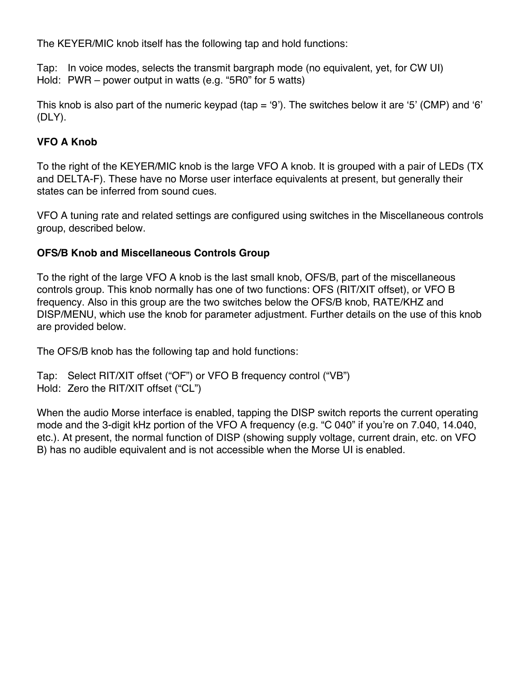The KEYER/MIC knob itself has the following tap and hold functions:

Tap: In voice modes, selects the transmit bargraph mode (no equivalent, yet, for CW UI) Hold: PWR – power output in watts (e.g. "5R0" for 5 watts)

This knob is also part of the numeric keypad (tap  $=$  '9'). The switches below it are '5' (CMP) and '6' (DLY).

# **VFO A Knob**

To the right of the KEYER/MIC knob is the large VFO A knob. It is grouped with a pair of LEDs (TX and DELTA-F). These have no Morse user interface equivalents at present, but generally their states can be inferred from sound cues.

VFO A tuning rate and related settings are configured using switches in the Miscellaneous controls group, described below.

# **OFS/B Knob and Miscellaneous Controls Group**

To the right of the large VFO A knob is the last small knob, OFS/B, part of the miscellaneous controls group. This knob normally has one of two functions: OFS (RIT/XIT offset), or VFO B frequency. Also in this group are the two switches below the OFS/B knob, RATE/KHZ and DISP/MENU, which use the knob for parameter adjustment. Further details on the use of this knob are provided below.

The OFS/B knob has the following tap and hold functions:

```
Tap: Select RIT/XIT offset ("OF") or VFO B frequency control ("VB")
Hold: Zero the RIT/XIT offset ("CL")
```
When the audio Morse interface is enabled, tapping the DISP switch reports the current operating mode and the 3-digit kHz portion of the VFO A frequency (e.g. "C 040" if you're on 7.040, 14.040, etc.). At present, the normal function of DISP (showing supply voltage, current drain, etc. on VFO B) has no audible equivalent and is not accessible when the Morse UI is enabled.